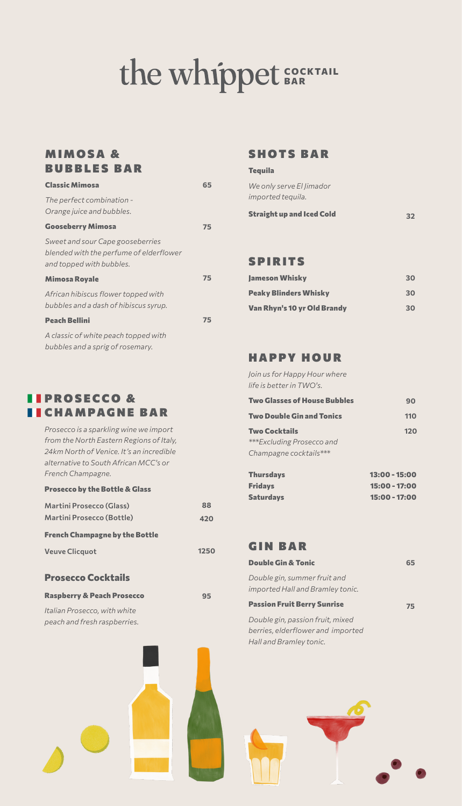# **C O C K TA I L BAR**

## **MIMOSA & BUBBLES BAR**

| <b>Classic Mimosa</b>                                                                                   | 65 |
|---------------------------------------------------------------------------------------------------------|----|
| The perfect combination -<br>Orange juice and bubbles.                                                  |    |
| <b>Gooseberry Mimosa</b>                                                                                | 75 |
| Sweet and sour Cape gooseberries<br>blended with the perfume of elderflower<br>and topped with bubbles. |    |
| <b>Mimosa Royale</b>                                                                                    | 75 |
| African hibiscus flower topped with<br>bubbles and a dash of hibiscus syrup.                            |    |
| <b>Peach Bellini</b>                                                                                    | 75 |
| A classic of white peach topped with<br>bubbles and a sprig of rosemary.                                |    |

# **I I PROSECCO &** CHAMPAGNE BAR

*Prosecco is a sparkling wine we import from the North Eastern Regions of Italy, 24km North of Venice. It's an incredible alternative to South African MCC's or French Champagne.*

#### **Prosecco by the Bottle & Glass**

| <b>Martini Prosecco (Glass)</b>       | 88   |
|---------------------------------------|------|
| Martini Prosecco (Bottle)             | 420  |
| <b>French Champagne by the Bottle</b> |      |
| <b>Veuve Clicquot</b>                 | 1250 |
|                                       |      |

### **Prosecco Cocktails**

*peach and fresh raspberries.* 

| <b>Raspberry &amp; Peach Prosecco</b> |  |
|---------------------------------------|--|
| Italian Prosecco, with white          |  |

## SHOTS BAR

#### **Tequila**

| We only serve El limador |  |
|--------------------------|--|
| imported tequila.        |  |

| <b>Straight up and Iced Cold</b> | 32 |  |
|----------------------------------|----|--|
|                                  |    |  |

### SPIRITS

| <b>Jameson Whisky</b>        | 30 |
|------------------------------|----|
| <b>Peaky Blinders Whisky</b> | 30 |
| Van Rhyn's 10 yr Old Brandy  | 30 |

## HAPPY HOUR

*Join us for Happy Hour where life is better in TWO's.* 

| Two Glasses of House Bubbles        | 90  |
|-------------------------------------|-----|
| Two Double Gin and Tonics           | 110 |
| Two Cocktails                       | 120 |
| ***Excluding Prosecco and           |     |
| Champagne cocktails***              |     |
| which are a strong of the strong of |     |

| <b>Thursdavs</b> | $13:00 - 15:00$ |
|------------------|-----------------|
| <b>Fridays</b>   | 15:00 - 17:00   |
| <b>Saturdays</b> | 15:00 - 17:00   |

#### GIN BAR

**95**

| <b>Double Gin &amp; Tonic</b>                                    | 65 |
|------------------------------------------------------------------|----|
| Double gin, summer fruit and<br>imported Hall and Bramley tonic. |    |
| <b>Passion Fruit Berry Sunrise</b>                               | 75 |
| Double gin, passion fruit, mixed                                 |    |
| berries, elderflower and imported                                |    |
| Hall and Bramley tonic.                                          |    |